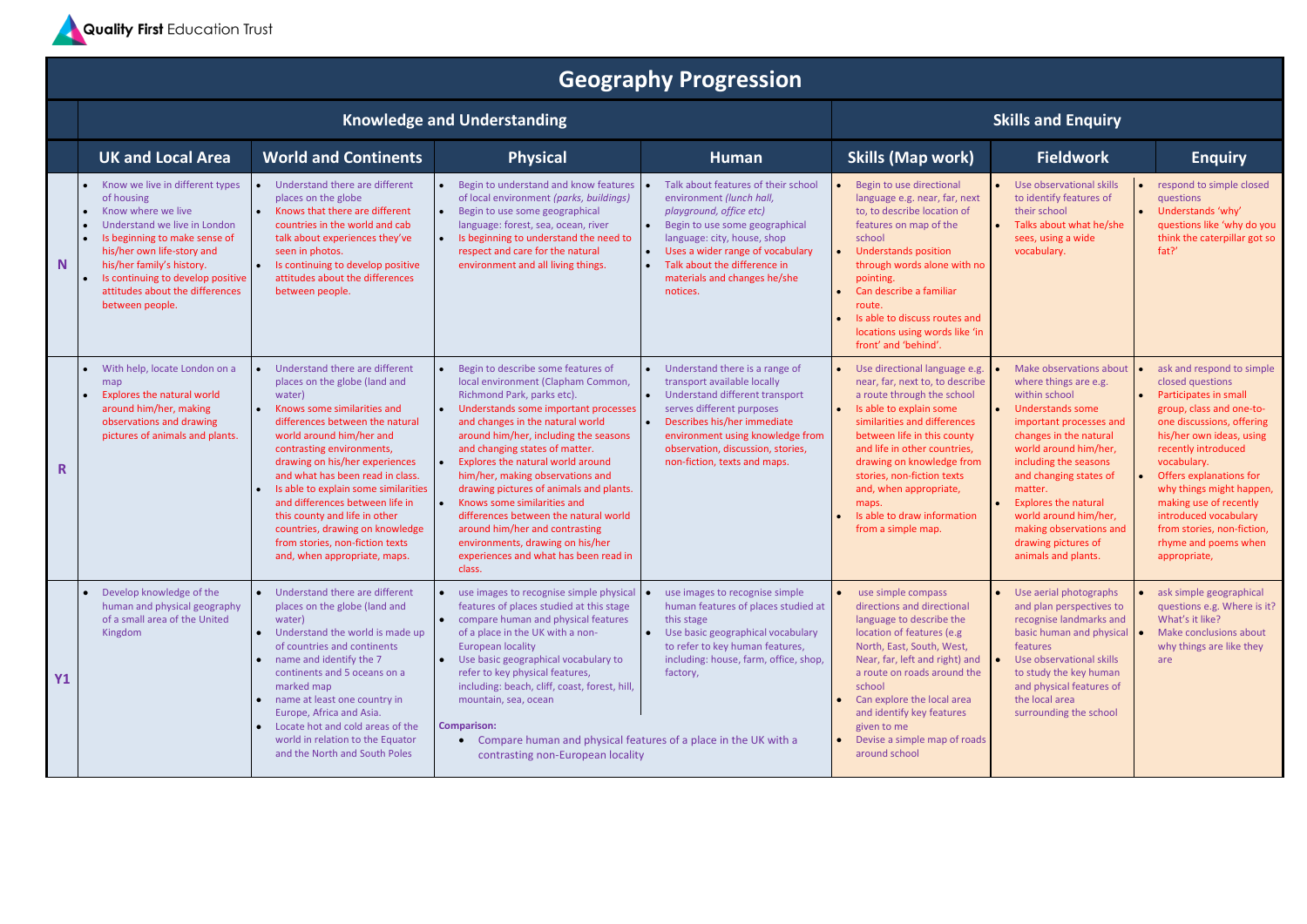

## **Geography Progression**

## **Knowledge** and Understanding **Skills And** *Enquiry* **Skills** and **Enquiry**

|              | <b>UK and Local Area</b>                                                                                                                                                                                                                                                                   | <b>World and Continents</b>                                                                                                                                                                                                                                                                                                                                                                                                                                                                  | <b>Physical</b>                                                                                                                                                                                                                                                                                                                                                                                                                                                                                                                                                                    | Human                                                                                                                                                                                                                                                                       | <b>Skills (Map work)</b>                                                                                                                                                                                                                                                                                                                                                    | <b>Fieldwork</b>                                                                                                                                                                                                                                                                                                                                                          | <b>Enquiry</b>                                                                                                                                                                                                                                                                                                                                                                    |
|--------------|--------------------------------------------------------------------------------------------------------------------------------------------------------------------------------------------------------------------------------------------------------------------------------------------|----------------------------------------------------------------------------------------------------------------------------------------------------------------------------------------------------------------------------------------------------------------------------------------------------------------------------------------------------------------------------------------------------------------------------------------------------------------------------------------------|------------------------------------------------------------------------------------------------------------------------------------------------------------------------------------------------------------------------------------------------------------------------------------------------------------------------------------------------------------------------------------------------------------------------------------------------------------------------------------------------------------------------------------------------------------------------------------|-----------------------------------------------------------------------------------------------------------------------------------------------------------------------------------------------------------------------------------------------------------------------------|-----------------------------------------------------------------------------------------------------------------------------------------------------------------------------------------------------------------------------------------------------------------------------------------------------------------------------------------------------------------------------|---------------------------------------------------------------------------------------------------------------------------------------------------------------------------------------------------------------------------------------------------------------------------------------------------------------------------------------------------------------------------|-----------------------------------------------------------------------------------------------------------------------------------------------------------------------------------------------------------------------------------------------------------------------------------------------------------------------------------------------------------------------------------|
| N.           | Know we live in different types<br>of housing<br>Know where we live<br>Understand we live in London<br>Is beginning to make sense of<br>his/her own life-story and<br>his/her family's history.<br>Is continuing to develop positive<br>attitudes about the differences<br>between people. | Understand there are different<br>places on the globe<br>Knows that there are different<br>$\bullet$<br>countries in the world and cab<br>talk about experiences they've<br>seen in photos.<br>Is continuing to develop positive<br>attitudes about the differences<br>between people.                                                                                                                                                                                                       | Begin to understand and know features<br>of local environment (parks, buildings)<br>Begin to use some geographical<br>language: forest, sea, ocean, river<br>Is beginning to understand the need to<br>respect and care for the natural<br>environment and all living things.                                                                                                                                                                                                                                                                                                      | Talk about features of their school<br>environment (lunch hall,<br>playground, office etc)<br>Begin to use some geographical<br>language: city, house, shop<br>Uses a wider range of vocabulary<br>Talk about the difference in<br>materials and changes he/she<br>notices. | Begin to use directional<br>language e.g. near, far, next<br>to, to describe location of<br>features on map of the<br>school<br><b>Understands position</b><br>through words alone with no<br>pointing.<br>Can describe a familiar<br>route.<br>Is able to discuss routes and<br>locations using words like 'in<br>front' and 'behind'.                                     | Use observational skills<br>to identify features of<br>their school<br>Talks about what he/she<br>sees, using a wide<br>vocabulary.                                                                                                                                                                                                                                       | respond to simple closed<br>questions<br>Understands 'why'<br>questions like 'why do you<br>think the caterpillar got so<br>fat?'                                                                                                                                                                                                                                                 |
| $\mathbf{R}$ | With help, locate London on a<br>map<br><b>Explores the natural world</b><br>around him/her, making<br>observations and drawing<br>pictures of animals and plants.                                                                                                                         | Understand there are different<br>places on the globe (land and<br>water)<br>Knows some similarities and<br>differences between the natural<br>world around him/her and<br>contrasting environments,<br>drawing on his/her experiences<br>and what has been read in class.<br>Is able to explain some similarities<br>and differences between life in<br>this county and life in other<br>countries, drawing on knowledge<br>from stories, non-fiction texts<br>and, when appropriate, maps. | Begin to describe some features of<br>local environment (Clapham Common,<br>Richmond Park, parks etc).<br>Understands some important processes<br>and changes in the natural world<br>around him/her, including the seasons<br>and changing states of matter.<br>Explores the natural world around<br>him/her, making observations and<br>drawing pictures of animals and plants.<br>Knows some similarities and<br>differences between the natural world<br>around him/her and contrasting<br>environments, drawing on his/her<br>experiences and what has been read in<br>class. | Understand there is a range of<br>transport available locally<br>Understand different transport<br>serves different purposes<br>Describes his/her immediate<br>environment using knowledge from<br>observation, discussion, stories,<br>non-fiction, texts and maps.        | Use directional language e.g.<br>near, far, next to, to describe<br>a route through the school<br>Is able to explain some<br>similarities and differences<br>between life in this county<br>and life in other countries,<br>drawing on knowledge from<br>stories, non-fiction texts<br>and, when appropriate,<br>maps.<br>Is able to draw information<br>from a simple map. | Make observations about<br>where things are e.g.<br>within school<br><b>Understands some</b><br>important processes and<br>changes in the natural<br>world around him/her,<br>including the seasons<br>and changing states of<br>matter.<br><b>Explores the natural</b><br>world around him/her,<br>making observations and<br>drawing pictures of<br>animals and plants. | ask and respond to simple<br>closed questions<br>Participates in small<br>group, class and one-to-<br>one discussions, offering<br>his/her own ideas, using<br>recently introduced<br>vocabulary.<br>Offers explanations for<br>why things might happen,<br>making use of recently<br>introduced vocabulary<br>from stories, non-fiction,<br>rhyme and poems when<br>appropriate, |
| Υ1           | Develop knowledge of the<br>human and physical geography<br>of a small area of the United<br>Kingdom                                                                                                                                                                                       | Understand there are different<br>places on the globe (land and<br>water)<br>Understand the world is made up<br>of countries and continents<br>name and identify the 7<br>continents and 5 oceans on a<br>marked map<br>name at least one country in<br>Europe, Africa and Asia.<br>Locate hot and cold areas of the<br>world in relation to the Equator<br>and the North and South Poles                                                                                                    | use images to recognise simple physical<br>features of places studied at this stage<br>• compare human and physical features<br>of a place in the UK with a non-<br><b>European locality</b><br>Use basic geographical vocabulary to<br>refer to key physical features,<br>including: beach, cliff, coast, forest, hill,<br>mountain, sea, ocean<br><b>Comparison:</b><br>• Compare human and physical features of a place in the UK with a<br>contrasting non-European locality                                                                                                   | use images to recognise simple<br>human features of places studied at<br>this stage<br>Use basic geographical vocabulary<br>to refer to key human features,<br>including: house, farm, office, shop,<br>factory,                                                            | use simple compass<br>directions and directional<br>language to describe the<br>location of features (e.g<br>North, East, South, West,<br>Near, far, left and right) and<br>a route on roads around the<br>school<br>Can explore the local area<br>and identify key features<br>given to me<br>Devise a simple map of roads<br>around school                                | Use aerial photographs<br>and plan perspectives to<br>recognise landmarks and<br>basic human and physical $\bullet$<br>features<br>Use observational skills<br>to study the key human<br>and physical features of<br>the local area<br>surrounding the school                                                                                                             | ask simple geographical<br>questions e.g. Where is it?<br>What's it like?<br>Make conclusions about<br>why things are like they<br>are                                                                                                                                                                                                                                            |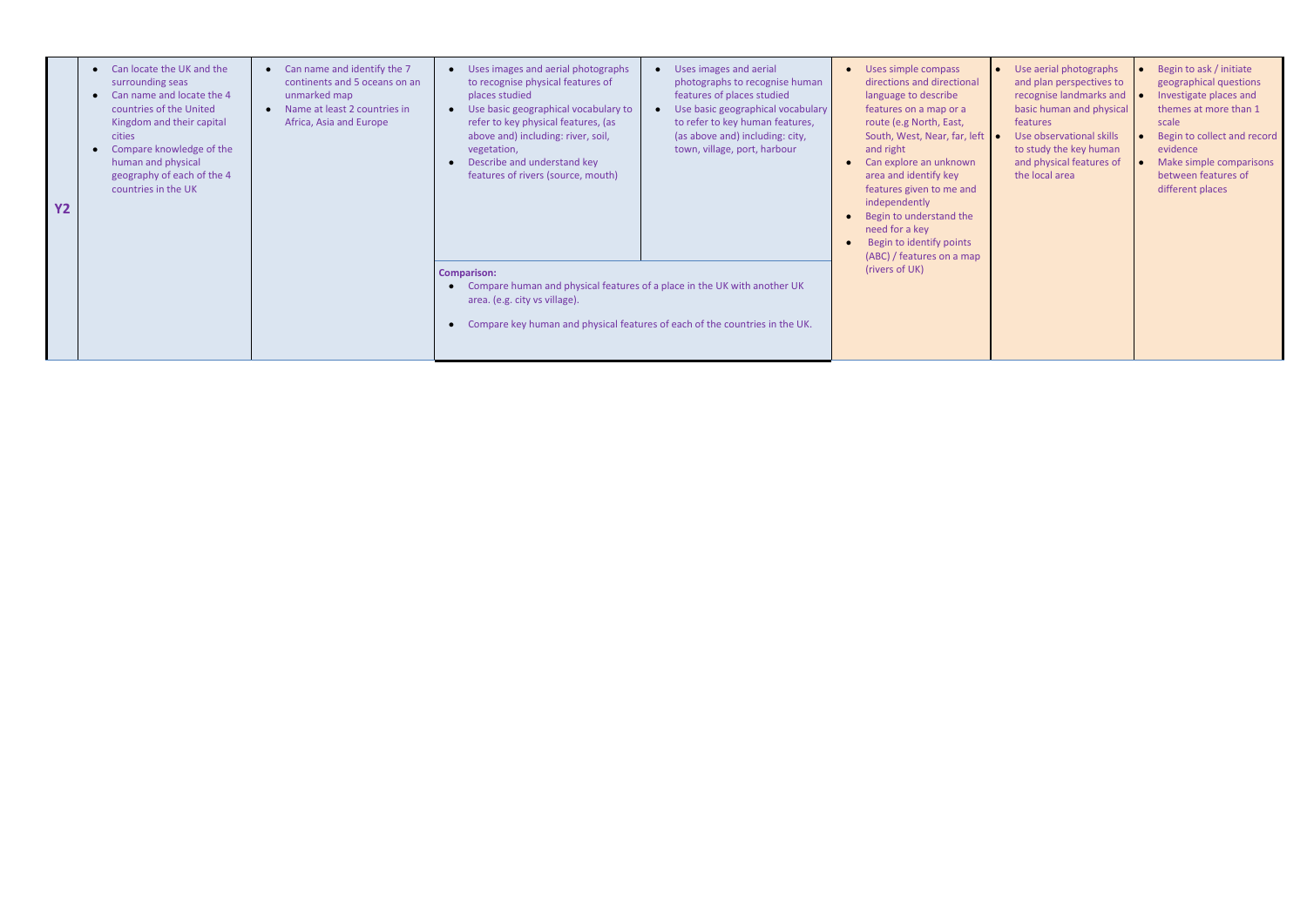| <b>Y2</b> | Can name and identify the 7<br>Can locate the UK and the<br>$\bullet$<br>continents and 5 oceans on an<br>surrounding seas<br>Can name and locate the 4<br>unmarked map<br>countries of the United<br>Name at least 2 countries in<br>Kingdom and their capital<br>Africa, Asia and Europe<br><b>cities</b><br>Compare knowledge of the<br>human and physical<br>geography of each of the 4<br>countries in the UK |                                                                                                                                                                                                                | Uses images and aerial photographs<br>to recognise physical features of<br>places studied<br>Use basic geographical vocabulary to<br>refer to key physical features, (as<br>above and) including: river, soil,<br>vegetation,<br>Describe and understand key<br>features of rivers (source, mouth) | Uses images and aerial<br>$\bullet$<br>photographs to recognise human<br>features of places studied<br>Use basic geographical vocabulary<br>$\bullet$<br>to refer to key human features,<br>(as above and) including: city,<br>town, village, port, harbour | Uses simple compass<br>directions and directional<br>language to describe<br>features on a map or a<br>route (e.g North, East,<br>South, West, Near, far, left<br>and right<br>Can explore an unknown<br>area and identify key<br>features given to me and<br>independently<br>Begin to understand the<br>need for a key<br>Begin to identify points<br>(ABC) / features on a map |
|-----------|--------------------------------------------------------------------------------------------------------------------------------------------------------------------------------------------------------------------------------------------------------------------------------------------------------------------------------------------------------------------------------------------------------------------|----------------------------------------------------------------------------------------------------------------------------------------------------------------------------------------------------------------|----------------------------------------------------------------------------------------------------------------------------------------------------------------------------------------------------------------------------------------------------------------------------------------------------|-------------------------------------------------------------------------------------------------------------------------------------------------------------------------------------------------------------------------------------------------------------|-----------------------------------------------------------------------------------------------------------------------------------------------------------------------------------------------------------------------------------------------------------------------------------------------------------------------------------------------------------------------------------|
|           |                                                                                                                                                                                                                                                                                                                                                                                                                    | <b>Comparison:</b><br>Compare human and physical features of a place in the UK with another UK<br>area. (e.g. city vs village).<br>Compare key human and physical features of each of the countries in the UK. | (rivers of UK)                                                                                                                                                                                                                                                                                     |                                                                                                                                                                                                                                                             |                                                                                                                                                                                                                                                                                                                                                                                   |

| Use aerial photographs<br>and plan perspectives to<br>recognise landmarks and<br>basic human and physical<br>features<br>Use observational skills<br>to study the key human<br>and physical features of<br>the local area | Begin to ask / initiate<br>geographical questions<br>Investigate places and<br>themes at more than 1<br>scale<br>Begin to collect and record<br>evidence<br>Make simple comparisons<br>between features of<br>different places |
|---------------------------------------------------------------------------------------------------------------------------------------------------------------------------------------------------------------------------|--------------------------------------------------------------------------------------------------------------------------------------------------------------------------------------------------------------------------------|
|---------------------------------------------------------------------------------------------------------------------------------------------------------------------------------------------------------------------------|--------------------------------------------------------------------------------------------------------------------------------------------------------------------------------------------------------------------------------|